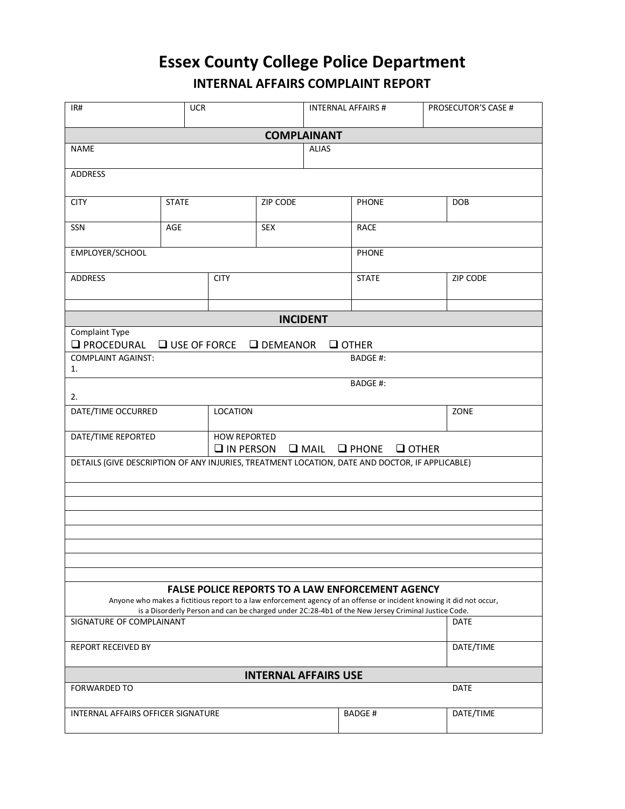## **Essex County College Police Department INTERNAL AFFAIRS COMPLAINT REPORT**

| IR#                                                                                                                                                                             | <b>UCR</b>                                                                                                        |                 |            |              | <b>INTERNAL AFFAIRS #</b> | PROSECUTOR'S CASE # |  |  |  |  |  |  |  |
|---------------------------------------------------------------------------------------------------------------------------------------------------------------------------------|-------------------------------------------------------------------------------------------------------------------|-----------------|------------|--------------|---------------------------|---------------------|--|--|--|--|--|--|--|
| <b>COMPLAINANT</b>                                                                                                                                                              |                                                                                                                   |                 |            |              |                           |                     |  |  |  |  |  |  |  |
| <b>NAME</b>                                                                                                                                                                     |                                                                                                                   |                 |            | <b>ALIAS</b> |                           |                     |  |  |  |  |  |  |  |
| <b>ADDRESS</b>                                                                                                                                                                  |                                                                                                                   |                 |            |              |                           |                     |  |  |  |  |  |  |  |
| <b>CITY</b>                                                                                                                                                                     | <b>STATE</b>                                                                                                      |                 | ZIP CODE   |              | <b>PHONE</b>              | DOB                 |  |  |  |  |  |  |  |
| SSN                                                                                                                                                                             | AGE                                                                                                               |                 | <b>SEX</b> |              | <b>RACE</b>               |                     |  |  |  |  |  |  |  |
| EMPLOYER/SCHOOL                                                                                                                                                                 |                                                                                                                   |                 |            |              | <b>PHONE</b>              |                     |  |  |  |  |  |  |  |
| <b>ADDRESS</b>                                                                                                                                                                  |                                                                                                                   | <b>CITY</b>     |            |              | <b>STATE</b>              | ZIP CODE            |  |  |  |  |  |  |  |
|                                                                                                                                                                                 |                                                                                                                   |                 |            |              |                           |                     |  |  |  |  |  |  |  |
| <b>INCIDENT</b><br>Complaint Type                                                                                                                                               |                                                                                                                   |                 |            |              |                           |                     |  |  |  |  |  |  |  |
| <b>O</b> PROCEDURAL<br>$\Box$ USE OF FORCE<br>$\Box$ OTHER<br>$\Box$ DEMEANOR                                                                                                   |                                                                                                                   |                 |            |              |                           |                     |  |  |  |  |  |  |  |
| <b>COMPLAINT AGAINST:</b><br><b>BADGE#:</b>                                                                                                                                     |                                                                                                                   |                 |            |              |                           |                     |  |  |  |  |  |  |  |
| 1.                                                                                                                                                                              |                                                                                                                   |                 |            |              |                           |                     |  |  |  |  |  |  |  |
| 2.                                                                                                                                                                              |                                                                                                                   |                 |            |              | <b>BADGE#:</b>            |                     |  |  |  |  |  |  |  |
| DATE/TIME OCCURRED                                                                                                                                                              |                                                                                                                   | <b>LOCATION</b> |            | ZONE         |                           |                     |  |  |  |  |  |  |  |
| DATE/TIME REPORTED                                                                                                                                                              | <b>HOW REPORTED</b><br>$\Box$ IN PERSON $\Box$ MAIL $\Box$ PHONE $\Box$ OTHER                                     |                 |            |              |                           |                     |  |  |  |  |  |  |  |
| DETAILS (GIVE DESCRIPTION OF ANY INJURIES, TREATMENT LOCATION, DATE AND DOCTOR, IF APPLICABLE)                                                                                  |                                                                                                                   |                 |            |              |                           |                     |  |  |  |  |  |  |  |
|                                                                                                                                                                                 |                                                                                                                   |                 |            |              |                           |                     |  |  |  |  |  |  |  |
|                                                                                                                                                                                 |                                                                                                                   |                 |            |              |                           |                     |  |  |  |  |  |  |  |
|                                                                                                                                                                                 |                                                                                                                   |                 |            |              |                           |                     |  |  |  |  |  |  |  |
|                                                                                                                                                                                 |                                                                                                                   |                 |            |              |                           |                     |  |  |  |  |  |  |  |
|                                                                                                                                                                                 |                                                                                                                   |                 |            |              |                           |                     |  |  |  |  |  |  |  |
|                                                                                                                                                                                 |                                                                                                                   |                 |            |              |                           |                     |  |  |  |  |  |  |  |
| <b>FALSE POLICE REPORTS TO A LAW ENFORCEMENT AGENCY</b><br>Anyone who makes a fictitious report to a law enforcement agency of an offense or incident knowing it did not occur, |                                                                                                                   |                 |            |              |                           |                     |  |  |  |  |  |  |  |
| SIGNATURE OF COMPLAINANT                                                                                                                                                        | is a Disorderly Person and can be charged under 2C:28-4b1 of the New Jersey Criminal Justice Code.<br><b>DATE</b> |                 |            |              |                           |                     |  |  |  |  |  |  |  |
|                                                                                                                                                                                 |                                                                                                                   |                 |            |              |                           |                     |  |  |  |  |  |  |  |
| <b>REPORT RECEIVED BY</b>                                                                                                                                                       | DATE/TIME                                                                                                         |                 |            |              |                           |                     |  |  |  |  |  |  |  |
| <b>INTERNAL AFFAIRS USE</b>                                                                                                                                                     |                                                                                                                   |                 |            |              |                           |                     |  |  |  |  |  |  |  |
| <b>FORWARDED TO</b><br><b>DATE</b>                                                                                                                                              |                                                                                                                   |                 |            |              |                           |                     |  |  |  |  |  |  |  |
| INTERNAL AFFAIRS OFFICER SIGNATURE                                                                                                                                              |                                                                                                                   |                 |            |              | <b>BADGE#</b>             | DATE/TIME           |  |  |  |  |  |  |  |